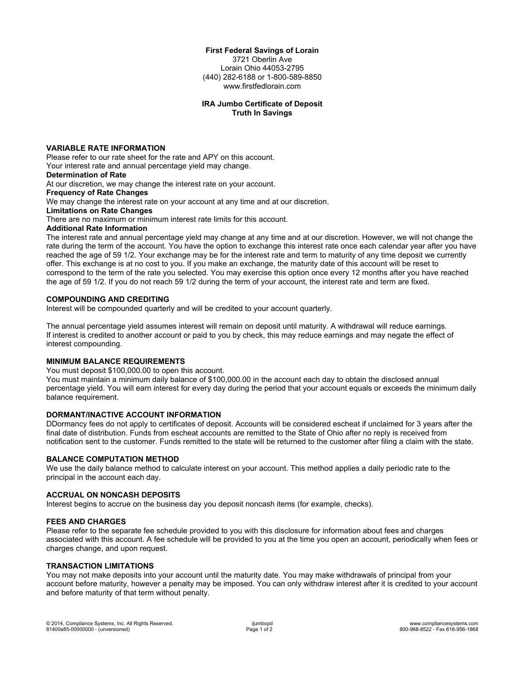#### **First Federal Savings of Lorain**

3721 Oberlin Ave Lorain Ohio 44053-2795 (440) 282-6188 or 1-800-589-8850 www.firstfedlorain.com

## **IRA Jumbo Certificate of Deposit Truth In Savings**

## **VARIABLE RATE INFORMATION**

Please refer to our rate sheet for the rate and APY on this account. Your interest rate and annual percentage yield may change.

# **Determination of Rate**

At our discretion, we may change the interest rate on your account.

**Frequency of Rate Changes**

We may change the interest rate on your account at any time and at our discretion.

#### **Limitations on Rate Changes**

There are no maximum or minimum interest rate limits for this account.

## **Additional Rate Information**

The interest rate and annual percentage yield may change at any time and at our discretion. However, we will not change the rate during the term of the account. You have the option to exchange this interest rate once each calendar year after you have reached the age of 59 1/2. Your exchange may be for the interest rate and term to maturity of any time deposit we currently offer. This exchange is at no cost to you. If you make an exchange, the maturity date of this account will be reset to correspond to the term of the rate you selected. You may exercise this option once every 12 months after you have reached the age of 59 1/2. If you do not reach 59 1/2 during the term of your account, the interest rate and term are fixed.

### **COMPOUNDING AND CREDITING**

Interest will be compounded quarterly and will be credited to your account quarterly.

The annual percentage yield assumes interest will remain on deposit until maturity. A withdrawal will reduce earnings. If interest is credited to another account or paid to you by check, this may reduce earnings and may negate the effect of interest compounding.

#### **MINIMUM BALANCE REQUIREMENTS**

You must deposit \$100,000.00 to open this account.

You must maintain a minimum daily balance of \$100,000.00 in the account each day to obtain the disclosed annual percentage yield. You will earn interest for every day during the period that your account equals or exceeds the minimum daily balance requirement.

## **DORMANT/INACTIVE ACCOUNT INFORMATION**

DDormancy fees do not apply to certificates of deposit. Accounts will be considered escheat if unclaimed for 3 years after the final date of distribution. Funds from escheat accounts are remitted to the State of Ohio after no reply is received from notification sent to the customer. Funds remitted to the state will be returned to the customer after filing a claim with the state.

## **BALANCE COMPUTATION METHOD**

We use the daily balance method to calculate interest on your account. This method applies a daily periodic rate to the principal in the account each day.

## **ACCRUAL ON NONCASH DEPOSITS**

Interest begins to accrue on the business day you deposit noncash items (for example, checks).

#### **FEES AND CHARGES**

Please refer to the separate fee schedule provided to you with this disclosure for information about fees and charges associated with this account. A fee schedule will be provided to you at the time you open an account, periodically when fees or charges change, and upon request.

# **TRANSACTION LIMITATIONS**

You may not make deposits into your account until the maturity date. You may make withdrawals of principal from your account before maturity, however a penalty may be imposed. You can only withdraw interest after it is credited to your account and before maturity of that term without penalty.